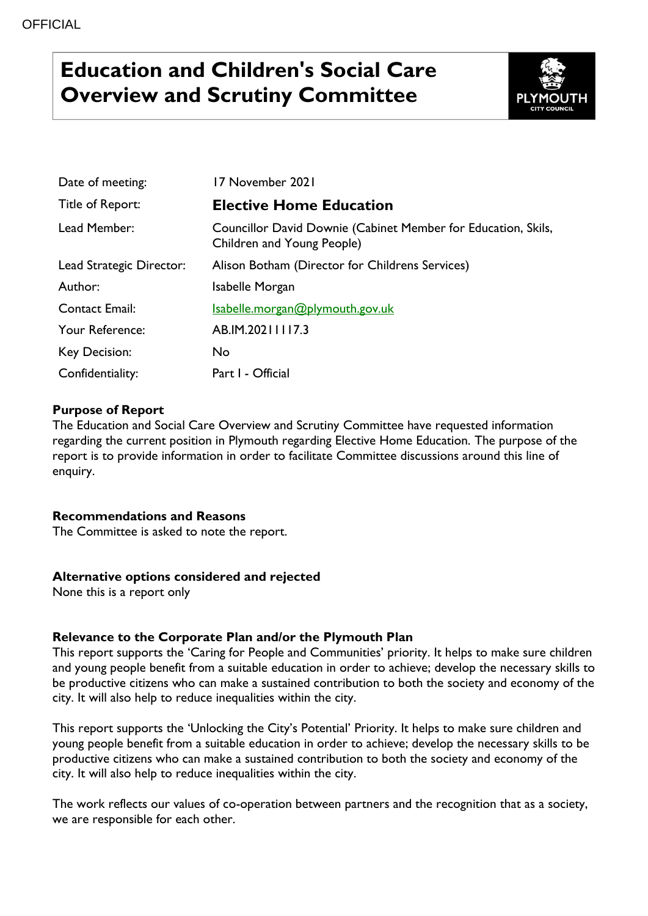# **Education and Children's Social Care Overview and Scrutiny Committee**



| Date of meeting:         | 17 November 2021                                                                            |
|--------------------------|---------------------------------------------------------------------------------------------|
| Title of Report:         | <b>Elective Home Education</b>                                                              |
| Lead Member:             | Councillor David Downie (Cabinet Member for Education, Skils,<br>Children and Young People) |
| Lead Strategic Director: | Alison Botham (Director for Childrens Services)                                             |
| Author:                  | Isabelle Morgan                                                                             |
| <b>Contact Email:</b>    | Isabelle.morgan@plymouth.gov.uk                                                             |
| Your Reference:          | AB.IM.20211117.3                                                                            |
| Key Decision:            | No                                                                                          |
| Confidentiality:         | Part I - Official                                                                           |

## **Purpose of Report**

The Education and Social Care Overview and Scrutiny Committee have requested information regarding the current position in Plymouth regarding Elective Home Education. The purpose of the report is to provide information in order to facilitate Committee discussions around this line of enquiry.

### **Recommendations and Reasons**

The Committee is asked to note the report.

#### **Alternative options considered and rejected**

None this is a report only

### **Relevance to the Corporate Plan and/or the Plymouth Plan**

This report supports the 'Caring for People and Communities' priority. It helps to make sure children and young people benefit from a suitable education in order to achieve; develop the necessary skills to be productive citizens who can make a sustained contribution to both the society and economy of the city. It will also help to reduce inequalities within the city.

This report supports the 'Unlocking the City's Potential' Priority. It helps to make sure children and young people benefit from a suitable education in order to achieve; develop the necessary skills to be productive citizens who can make a sustained contribution to both the society and economy of the city. It will also help to reduce inequalities within the city.

The work reflects our values of co-operation between partners and the recognition that as a society, we are responsible for each other.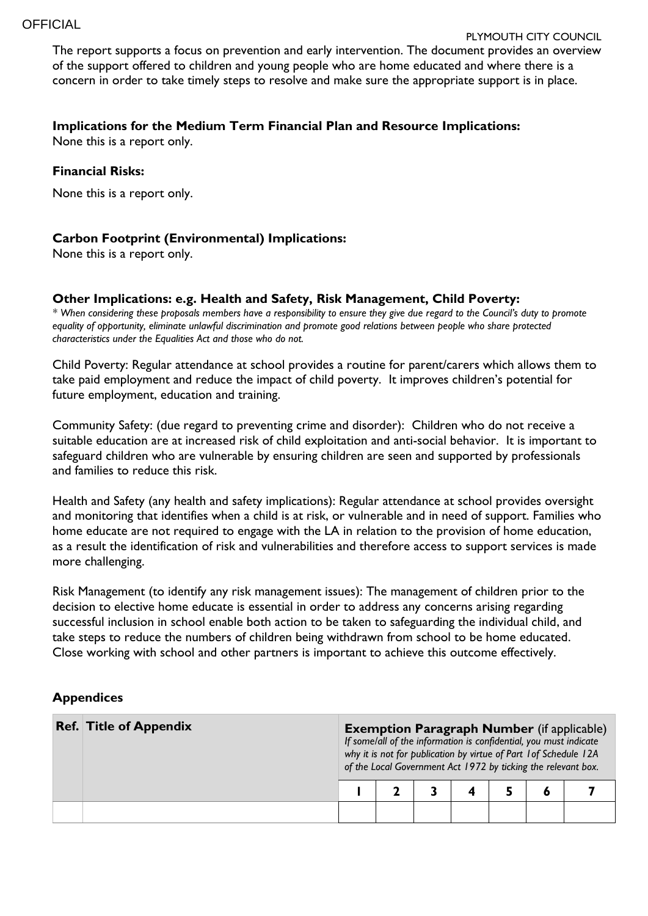#### PLYMOUTH CITY COUNCIL

The report supports a focus on prevention and early intervention. The document provides an overview of the support offered to children and young people who are home educated and where there is a concern in order to take timely steps to resolve and make sure the appropriate support is in place.

#### **Implications for the Medium Term Financial Plan and Resource Implications:**

None this is a report only.

#### **Financial Risks:**

None this is a report only.

## **Carbon Footprint (Environmental) Implications:**

None this is a report only.

#### **Other Implications: e.g. Health and Safety, Risk Management, Child Poverty:**

*\* When considering these proposals members have a responsibility to ensure they give due regard to the Council's duty to promote equality of opportunity, eliminate unlawful discrimination and promote good relations between people who share protected characteristics under the Equalities Act and those who do not.*

Child Poverty: Regular attendance at school provides a routine for parent/carers which allows them to take paid employment and reduce the impact of child poverty. It improves children's potential for future employment, education and training.

Community Safety: (due regard to preventing crime and disorder): Children who do not receive a suitable education are at increased risk of child exploitation and anti-social behavior. It is important to safeguard children who are vulnerable by ensuring children are seen and supported by professionals and families to reduce this risk.

Health and Safety (any health and safety implications): Regular attendance at school provides oversight and monitoring that identifies when a child is at risk, or vulnerable and in need of support. Families who home educate are not required to engage with the LA in relation to the provision of home education, as a result the identification of risk and vulnerabilities and therefore access to support services is made more challenging.

Risk Management (to identify any risk management issues): The management of children prior to the decision to elective home educate is essential in order to address any concerns arising regarding successful inclusion in school enable both action to be taken to safeguarding the individual child, and take steps to reduce the numbers of children being withdrawn from school to be home educated. Close working with school and other partners is important to achieve this outcome effectively.

### **Appendices**

| <b>Ref. Title of Appendix</b> |  | <b>Exemption Paragraph Number</b> (if applicable)<br>If some/all of the information is confidential, you must indicate<br>why it is not for publication by virtue of Part 1 of Schedule 12A<br>of the Local Government Act 1972 by ticking the relevant box. |  |  |  |  |  |  |
|-------------------------------|--|--------------------------------------------------------------------------------------------------------------------------------------------------------------------------------------------------------------------------------------------------------------|--|--|--|--|--|--|
|                               |  |                                                                                                                                                                                                                                                              |  |  |  |  |  |  |
|                               |  |                                                                                                                                                                                                                                                              |  |  |  |  |  |  |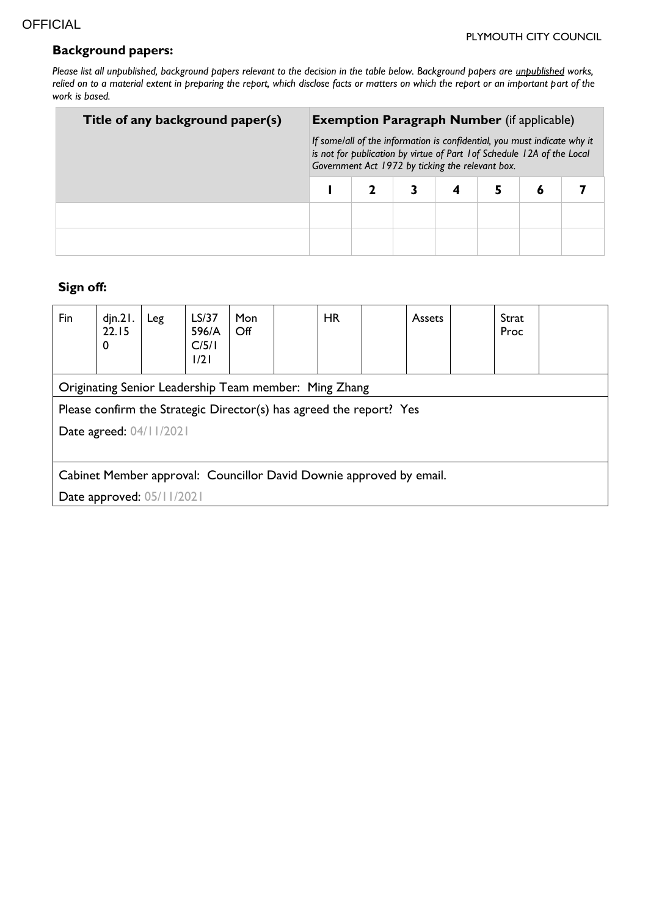## **Background papers:**

*Please list all unpublished, background papers relevant to the decision in the table below. Background papers are unpublished works,*  relied on to a material extent in preparing the report, which disclose facts or matters on which the report or an important part of the *work is based.*

| Title of any background paper(s) | <b>Exemption Paragraph Number</b> (if applicable)                                                                                                                                                       |  |  |  |   |  |
|----------------------------------|---------------------------------------------------------------------------------------------------------------------------------------------------------------------------------------------------------|--|--|--|---|--|
|                                  | If some/all of the information is confidential, you must indicate why it<br>is not for publication by virtue of Part 1 of Schedule 12A of the Local<br>Government Act 1972 by ticking the relevant box. |  |  |  |   |  |
|                                  |                                                                                                                                                                                                         |  |  |  | 6 |  |
|                                  |                                                                                                                                                                                                         |  |  |  |   |  |
|                                  |                                                                                                                                                                                                         |  |  |  |   |  |

# **Sign off:**

| Fin                                                                 | $d$ jn. $21.$<br>22.15<br>0                           | Leg | LS/37<br>596/A<br>C/5/1<br>1/21 | <b>Mon</b><br>Off |  | HR |  | Assets |  | Strat<br>Proc |  |
|---------------------------------------------------------------------|-------------------------------------------------------|-----|---------------------------------|-------------------|--|----|--|--------|--|---------------|--|
|                                                                     | Originating Senior Leadership Team member: Ming Zhang |     |                                 |                   |  |    |  |        |  |               |  |
| Please confirm the Strategic Director(s) has agreed the report? Yes |                                                       |     |                                 |                   |  |    |  |        |  |               |  |
| Date agreed: 04/11/2021                                             |                                                       |     |                                 |                   |  |    |  |        |  |               |  |
|                                                                     |                                                       |     |                                 |                   |  |    |  |        |  |               |  |
| Cabinet Member approval: Councillor David Downie approved by email. |                                                       |     |                                 |                   |  |    |  |        |  |               |  |
| Date approved: 05/11/2021                                           |                                                       |     |                                 |                   |  |    |  |        |  |               |  |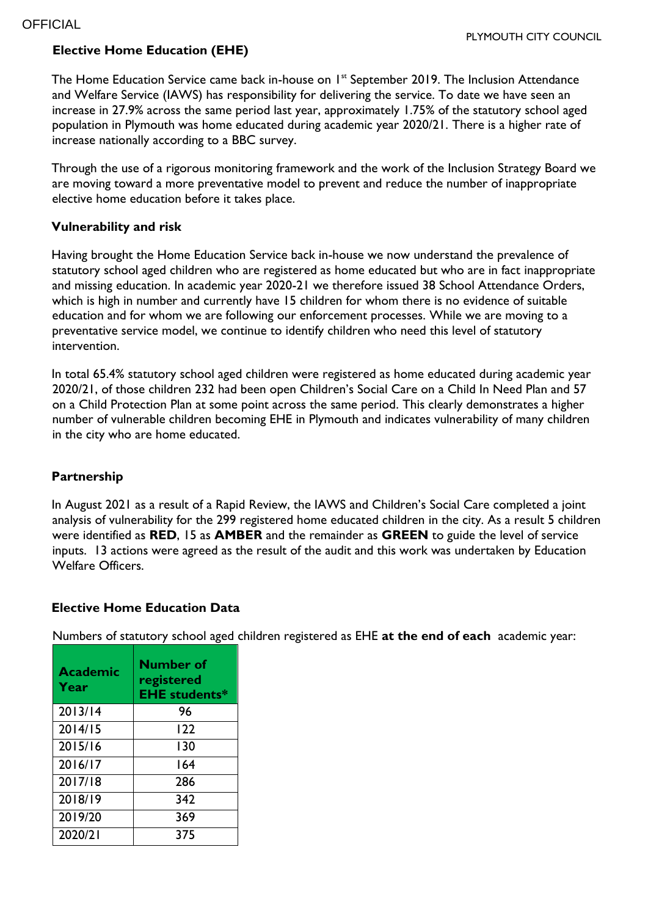## **Elective Home Education (EHE)**

The Home Education Service came back in-house on 1<sup>st</sup> September 2019. The Inclusion Attendance and Welfare Service (IAWS) has responsibility for delivering the service. To date we have seen an increase in 27.9% across the same period last year, approximately 1.75% of the statutory school aged population in Plymouth was home educated during academic year 2020/21. There is a higher rate of increase nationally according to a BBC survey.

Through the use of a rigorous monitoring framework and the work of the Inclusion Strategy Board we are moving toward a more preventative model to prevent and reduce the number of inappropriate elective home education before it takes place.

## **Vulnerability and risk**

Having brought the Home Education Service back in-house we now understand the prevalence of statutory school aged children who are registered as home educated but who are in fact inappropriate and missing education. In academic year 2020-21 we therefore issued 38 School Attendance Orders, which is high in number and currently have 15 children for whom there is no evidence of suitable education and for whom we are following our enforcement processes. While we are moving to a preventative service model, we continue to identify children who need this level of statutory intervention.

In total 65.4% statutory school aged children were registered as home educated during academic year 2020/21, of those children 232 had been open Children's Social Care on a Child In Need Plan and 57 on a Child Protection Plan at some point across the same period. This clearly demonstrates a higher number of vulnerable children becoming EHE in Plymouth and indicates vulnerability of many children in the city who are home educated.

## **Partnership**

In August 2021 as a result of a Rapid Review, the IAWS and Children's Social Care completed a joint analysis of vulnerability for the 299 registered home educated children in the city. As a result 5 children were identified as **RED**, 15 as **AMBER** and the remainder as **GREEN** to guide the level of service inputs. 13 actions were agreed as the result of the audit and this work was undertaken by Education Welfare Officers.

## **Elective Home Education Data**

Numbers of statutory school aged children registered as EHE **at the end of each** academic year:

| <b>Academic</b><br>Year | Number of<br>registered<br><b>EHE students*</b> |
|-------------------------|-------------------------------------------------|
| 2013/14                 | 96                                              |
| 2014/15                 | 122                                             |
| 2015/16                 | 130                                             |
| 2016/17                 | 164                                             |
| 2017/18                 | 286                                             |
| 2018/19                 | 342                                             |
| 2019/20                 | 369                                             |
| 2020/21                 | 375                                             |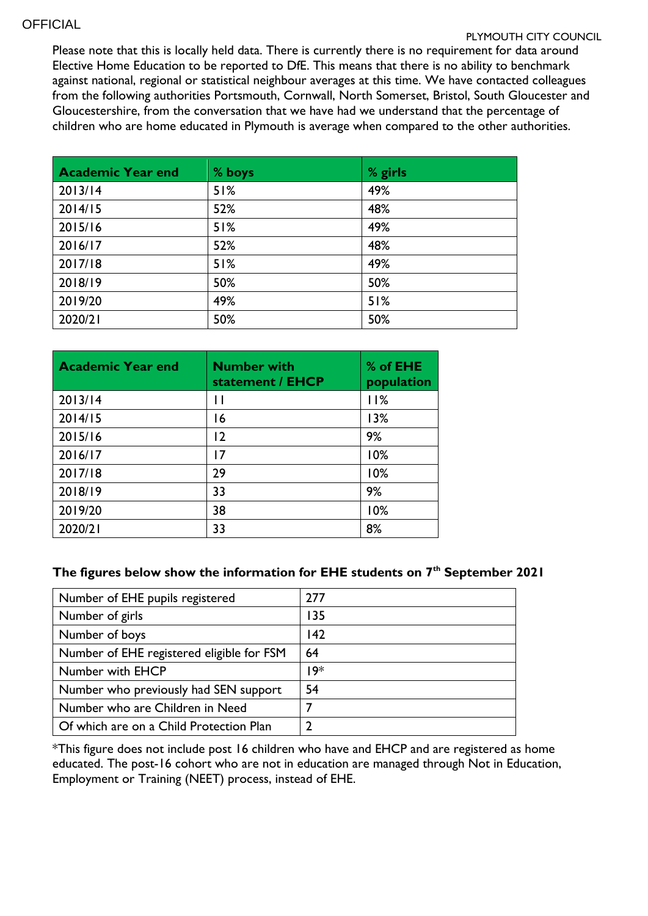#### **OFFICIAL**

#### PLYMOUTH CITY COUNCIL

Please note that this is locally held data. There is currently there is no requirement for data around Elective Home Education to be reported to DfE. This means that there is no ability to benchmark against national, regional or statistical neighbour averages at this time. We have contacted colleagues from the following authorities Portsmouth, Cornwall, North Somerset, Bristol, South Gloucester and Gloucestershire, from the conversation that we have had we understand that the percentage of children who are home educated in Plymouth is average when compared to the other authorities.

| <b>Academic Year end</b> | % boys | % girls |
|--------------------------|--------|---------|
| 2013/14                  | 51%    | 49%     |
| 2014/15                  | 52%    | 48%     |
| 2015/16                  | 51%    | 49%     |
| 2016/17                  | 52%    | 48%     |
| 2017/18                  | 51%    | 49%     |
| 2018/19                  | 50%    | 50%     |
| 2019/20                  | 49%    | 51%     |
| 2020/21                  | 50%    | 50%     |

| <b>Academic Year end</b> | <b>Number with</b><br>statement / EHCP | % of EHE<br>population |
|--------------------------|----------------------------------------|------------------------|
| 2013/14                  | Н                                      | 11%                    |
| 2014/15                  | 16                                     | 13%                    |
| 2015/16                  | $\overline{2}$                         | 9%                     |
| 2016/17                  | 17                                     | 10%                    |
| 2017/18                  | 29                                     | 10%                    |
| 2018/19                  | 33                                     | 9%                     |
| 2019/20                  | 38                                     | 10%                    |
| 2020/21                  | 33                                     | 8%                     |

## **The figures below show the information for EHE students on 7th September 2021**

| Number of EHE pupils registered           | 277 |
|-------------------------------------------|-----|
| Number of girls                           | 135 |
| Number of boys                            | 42  |
| Number of EHE registered eligible for FSM | 64  |
| Number with EHCP                          | ∗19 |
| Number who previously had SEN support     | 54  |
| Number who are Children in Need           |     |
| Of which are on a Child Protection Plan   |     |

\*This figure does not include post 16 children who have and EHCP and are registered as home educated. The post-16 cohort who are not in education are managed through Not in Education, Employment or Training (NEET) process, instead of EHE.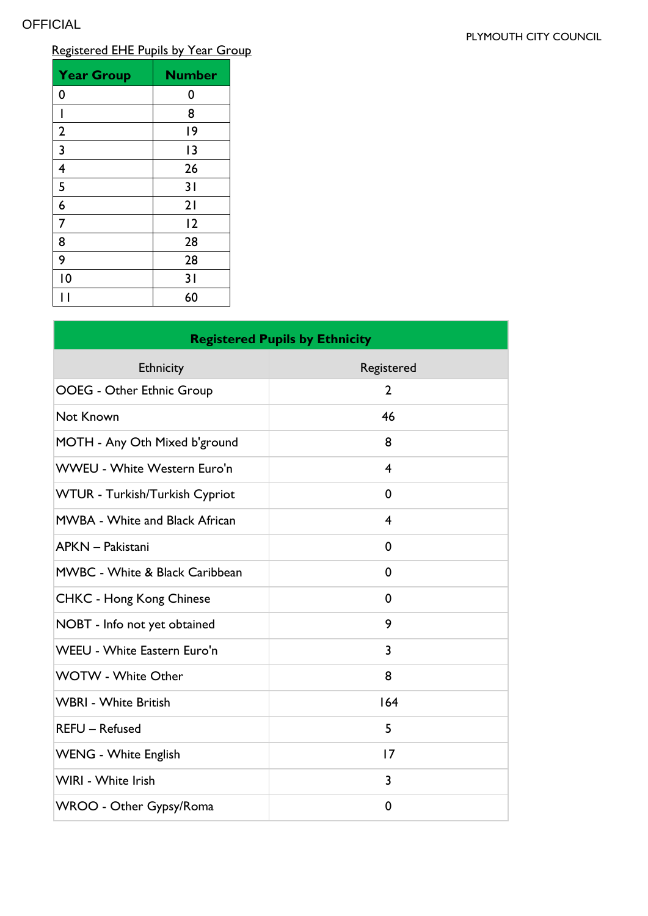#### PLYMOUTH CITY COUNCIL

# Registered EHE Pupils by Year Group

| <b>Year Group</b>       | <b>Number</b> |
|-------------------------|---------------|
| 0                       | 0             |
| ı                       | 8             |
| $\overline{2}$          | 19            |
| $\overline{\mathbf{3}}$ | 13            |
| $\overline{4}$          | 26            |
| 5                       | 31            |
| $\overline{6}$          | 21            |
| $\overline{7}$          | 12            |
| 8                       | 28            |
| 9                       | 28            |
| $\overline{10}$         | 31            |
|                         | 60            |

| <b>Registered Pupils by Ethnicity</b>     |              |  |  |  |
|-------------------------------------------|--------------|--|--|--|
| Ethnicity                                 | Registered   |  |  |  |
| <b>OOEG - Other Ethnic Group</b>          | $\mathbf{2}$ |  |  |  |
| Not Known                                 | 46           |  |  |  |
| MOTH - Any Oth Mixed b'ground             | 8            |  |  |  |
| <b>WWEU - White Western Euro'n</b>        | 4            |  |  |  |
| WTUR - Turkish/Turkish Cypriot            | 0            |  |  |  |
| <b>MWBA - White and Black African</b>     | 4            |  |  |  |
| APKN - Pakistani                          | 0            |  |  |  |
| <b>MWBC - White &amp; Black Caribbean</b> | 0            |  |  |  |
| <b>CHKC - Hong Kong Chinese</b>           | 0            |  |  |  |
| NOBT - Info not yet obtained              | 9            |  |  |  |
| <b>WEEU - White Eastern Euro'n</b>        | 3            |  |  |  |
| <b>WOTW - White Other</b>                 | 8            |  |  |  |
| <b>WBRI - White British</b>               | 164          |  |  |  |
| <b>REFU</b> - Refused                     | 5            |  |  |  |
| <b>WENG - White English</b>               | 17           |  |  |  |
| WIRI - White Irish                        | 3            |  |  |  |
| WROO - Other Gypsy/Roma                   | 0            |  |  |  |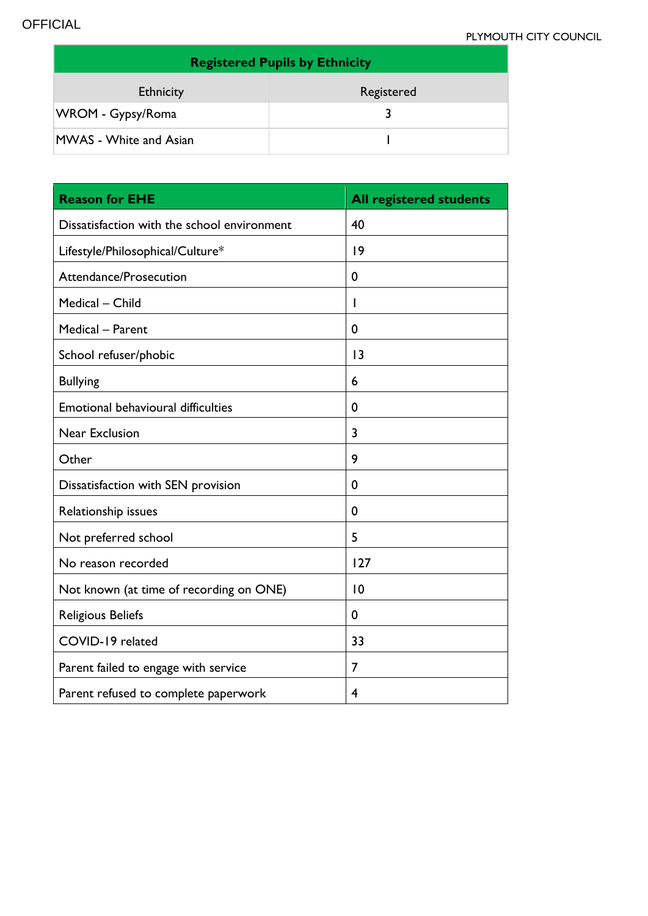| <b>Registered Pupils by Ethnicity</b> |            |  |  |  |  |
|---------------------------------------|------------|--|--|--|--|
| <b>Ethnicity</b>                      | Registered |  |  |  |  |
| WROM - Gypsy/Roma                     |            |  |  |  |  |
| <b>MWAS</b> - White and Asian         |            |  |  |  |  |

| <b>Reason for EHE</b>                       | <b>All registered students</b> |
|---------------------------------------------|--------------------------------|
| Dissatisfaction with the school environment | 40                             |
| Lifestyle/Philosophical/Culture*            | 9                              |
| Attendance/Prosecution                      | 0                              |
| Medical - Child                             | ı                              |
| Medical - Parent                            | 0                              |
| School refuser/phobic                       | 3                              |
| <b>Bullying</b>                             | 6                              |
| Emotional behavioural difficulties          | 0                              |
| Near Exclusion                              | 3                              |
| Other                                       | 9                              |
| Dissatisfaction with SEN provision          | 0                              |
| Relationship issues                         | 0                              |
| Not preferred school                        | 5                              |
| No reason recorded                          | 127                            |
| Not known (at time of recording on ONE)     | 10                             |
| <b>Religious Beliefs</b>                    | 0                              |
| COVID-19 related                            | 33                             |
| Parent failed to engage with service        | 7                              |
| Parent refused to complete paperwork        | 4                              |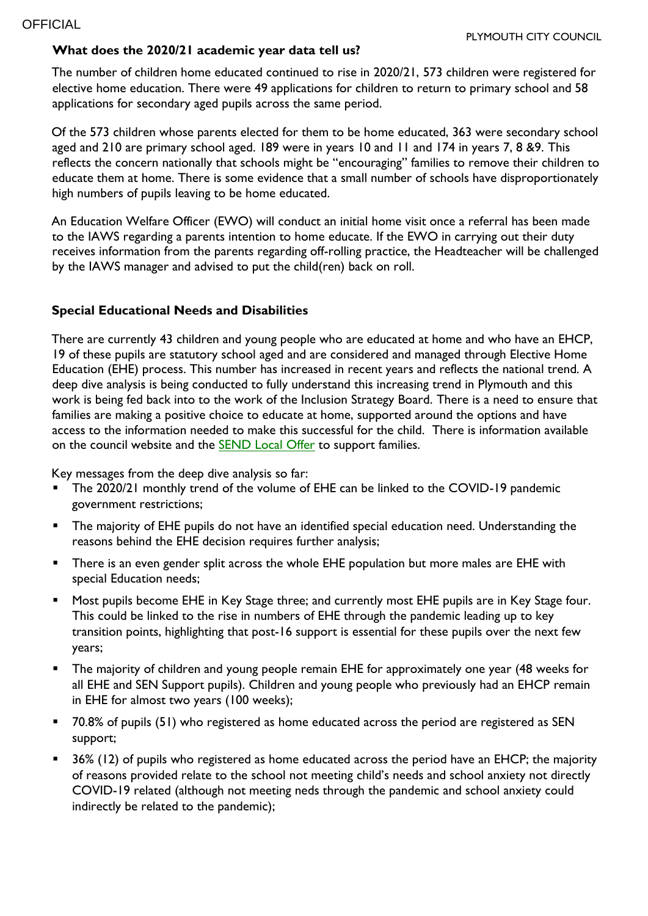## **What does the 2020/21 academic year data tell us?**

The number of children home educated continued to rise in 2020/21, 573 children were registered for elective home education. There were 49 applications for children to return to primary school and 58 applications for secondary aged pupils across the same period.

Of the 573 children whose parents elected for them to be home educated, 363 were secondary school aged and 210 are primary school aged. 189 were in years 10 and 11 and 174 in years 7, 8 &9. This reflects the concern nationally that schools might be "encouraging" families to remove their children to educate them at home. There is some evidence that a small number of schools have disproportionately high numbers of pupils leaving to be home educated.

An Education Welfare Officer (EWO) will conduct an initial home visit once a referral has been made to the IAWS regarding a parents intention to home educate. If the EWO in carrying out their duty receives information from the parents regarding off-rolling practice, the Headteacher will be challenged by the IAWS manager and advised to put the child(ren) back on roll.

### **Special Educational Needs and Disabilities**

There are currently 43 children and young people who are educated at home and who have an EHCP, 19 of these pupils are statutory school aged and are considered and managed through Elective Home Education (EHE) process. This number has increased in recent years and reflects the national trend. A deep dive analysis is being conducted to fully understand this increasing trend in Plymouth and this work is being fed back into to the work of the Inclusion Strategy Board. There is a need to ensure that families are making a positive choice to educate at home, supported around the options and have access to the information needed to make this successful for the child. There is information available on the council website and the **SEND [Local](https://www.plymouthonlinedirectory.com/plymouthlocaloffer) Offer** to support families.

Key messages from the deep dive analysis so far:

- **The 2020/21 monthly trend of the volume of EHE can be linked to the COVID-19 pandemic** government restrictions;
- **The majority of EHE pupils do not have an identified special education need. Understanding the** reasons behind the EHE decision requires further analysis;
- **There is an even gender split across the whole EHE population but more males are EHE with** special Education needs;
- Most pupils become EHE in Key Stage three; and currently most EHE pupils are in Key Stage four. This could be linked to the rise in numbers of EHE through the pandemic leading up to key transition points, highlighting that post-16 support is essential for these pupils over the next few years;
- The majority of children and young people remain EHE for approximately one year (48 weeks for all EHE and SEN Support pupils). Children and young people who previously had an EHCP remain in EHE for almost two years (100 weeks);
- 70.8% of pupils (51) who registered as home educated across the period are registered as SEN support;
- 36% (12) of pupils who registered as home educated across the period have an EHCP; the majority of reasons provided relate to the school not meeting child's needs and school anxiety not directly COVID-19 related (although not meeting neds through the pandemic and school anxiety could indirectly be related to the pandemic);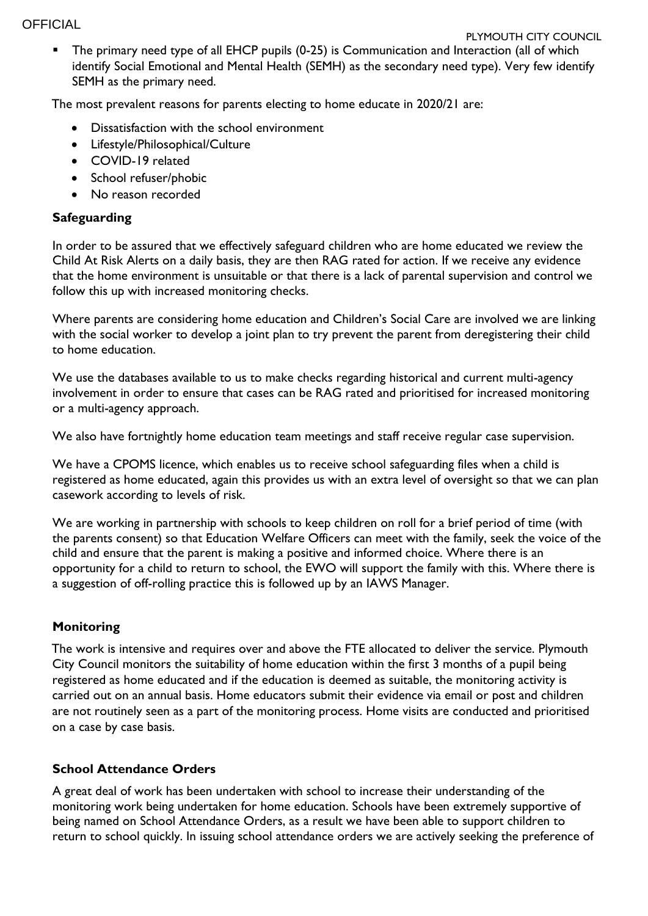## **OFFICIAL**

#### PLYMOUTH CITY COUNCIL

**The primary need type of all EHCP pupils (0-25) is Communication and Interaction (all of which** identify Social Emotional and Mental Health (SEMH) as the secondary need type). Very few identify SEMH as the primary need.

The most prevalent reasons for parents electing to home educate in 2020/21 are:

- Dissatisfaction with the school environment
- Lifestyle/Philosophical/Culture
- COVID-19 related
- School refuser/phobic
- No reason recorded

## **Safeguarding**

In order to be assured that we effectively safeguard children who are home educated we review the Child At Risk Alerts on a daily basis, they are then RAG rated for action. If we receive any evidence that the home environment is unsuitable or that there is a lack of parental supervision and control we follow this up with increased monitoring checks.

Where parents are considering home education and Children's Social Care are involved we are linking with the social worker to develop a joint plan to try prevent the parent from deregistering their child to home education.

We use the databases available to us to make checks regarding historical and current multi-agency involvement in order to ensure that cases can be RAG rated and prioritised for increased monitoring or a multi-agency approach.

We also have fortnightly home education team meetings and staff receive regular case supervision.

We have a CPOMS licence, which enables us to receive school safeguarding files when a child is registered as home educated, again this provides us with an extra level of oversight so that we can plan casework according to levels of risk.

We are working in partnership with schools to keep children on roll for a brief period of time (with the parents consent) so that Education Welfare Officers can meet with the family, seek the voice of the child and ensure that the parent is making a positive and informed choice. Where there is an opportunity for a child to return to school, the EWO will support the family with this. Where there is a suggestion of off-rolling practice this is followed up by an IAWS Manager.

## **Monitoring**

The work is intensive and requires over and above the FTE allocated to deliver the service. Plymouth City Council monitors the suitability of home education within the first 3 months of a pupil being registered as home educated and if the education is deemed as suitable, the monitoring activity is carried out on an annual basis. Home educators submit their evidence via email or post and children are not routinely seen as a part of the monitoring process. Home visits are conducted and prioritised on a case by case basis.

## **School Attendance Orders**

A great deal of work has been undertaken with school to increase their understanding of the monitoring work being undertaken for home education. Schools have been extremely supportive of being named on School Attendance Orders, as a result we have been able to support children to return to school quickly. In issuing school attendance orders we are actively seeking the preference of